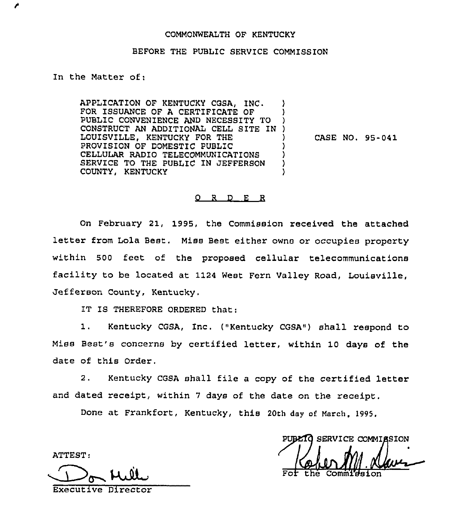## COMMONWEALTH OF KENTUCKY

## BEFORE THE PUBLIC SERVICE COMMISSION

In the Matter of:

APPLICATION OF KENTUCKY CGSA, INC. FOR ISSUANCE OF A CERTIFICATE OF ) PUBLIC CONVENIENCE AND NECESSITY TO ) CONSTRUCT AN ADDITIONAL CELL SITE IN ) LOUISVILLE, KENTUCKY FOR THE PROVISION OF DOMESTIC PUBLIC ) CELLULAR RADIO TELECOMMUNICATIONS SERVICE TO THE PUBLIC IN JEFFERSON ) COUNTY, KENTUCKY

CASE NO, 95-041

## 0 <sup>R</sup> D E R

On February 21, 1995, the Commission received the attached letter from Lola Best. Miss Best either owns or occupies property within 500 feet of the proposed cellular telecommunications facility to be located at 1124 West Fern Valley Road, Louisville, Jefferson County, Kentucky.

IT IS THEREFORE ORDERED that:

1. Kentucky COSA, Inc. {"Kentucky CGSA") shall respond to Miss Best's concerns by certified letter, within 10 days of the date of this Order.

2. Kentucky CGSA shall file <sup>a</sup> copy of the certified letter and dated receipt, within <sup>7</sup> days of the date on the receipt.

Done at Frankfort, Kentucky, this 20th day of March, 1995.

ATTEST:

Executive Director

PUBLIC SERVICE COMMISSION Comm